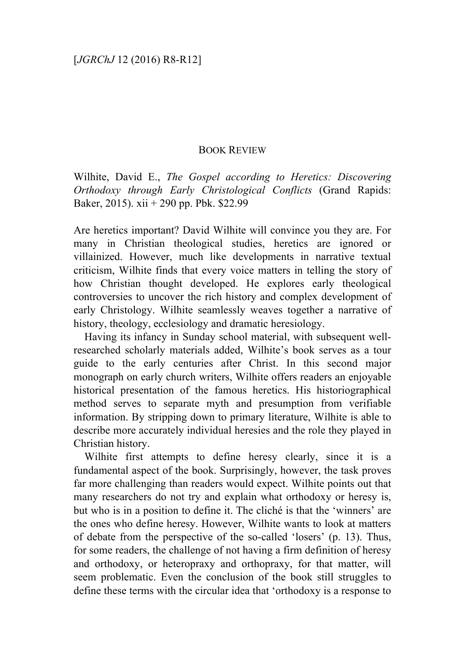## BOOK REVIEW

Wilhite, David E., *The Gospel according to Heretics: Discovering Orthodoxy through Early Christological Conflicts* (Grand Rapids: Baker, 2015). xii + 290 pp. Pbk. \$22.99

Are heretics important? David Wilhite will convince you they are. For many in Christian theological studies, heretics are ignored or villainized. However, much like developments in narrative textual criticism, Wilhite finds that every voice matters in telling the story of how Christian thought developed. He explores early theological controversies to uncover the rich history and complex development of early Christology. Wilhite seamlessly weaves together a narrative of history, theology, ecclesiology and dramatic heresiology.

Having its infancy in Sunday school material, with subsequent wellresearched scholarly materials added, Wilhite's book serves as a tour guide to the early centuries after Christ. In this second major monograph on early church writers, Wilhite offers readers an enjoyable historical presentation of the famous heretics. His historiographical method serves to separate myth and presumption from verifiable information. By stripping down to primary literature, Wilhite is able to describe more accurately individual heresies and the role they played in Christian history.

Wilhite first attempts to define heresy clearly, since it is a fundamental aspect of the book. Surprisingly, however, the task proves far more challenging than readers would expect. Wilhite points out that many researchers do not try and explain what orthodoxy or heresy is, but who is in a position to define it. The cliché is that the 'winners' are the ones who define heresy. However, Wilhite wants to look at matters of debate from the perspective of the so-called 'losers' (p. 13). Thus, for some readers, the challenge of not having a firm definition of heresy and orthodoxy, or heteropraxy and orthopraxy, for that matter, will seem problematic. Even the conclusion of the book still struggles to define these terms with the circular idea that 'orthodoxy is a response to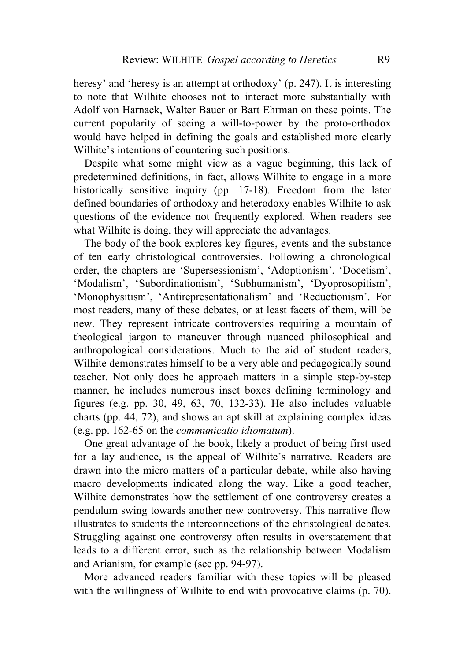heresy' and 'heresy is an attempt at orthodoxy' (p. 247). It is interesting to note that Wilhite chooses not to interact more substantially with Adolf von Harnack, Walter Bauer or Bart Ehrman on these points. The current popularity of seeing a will-to-power by the proto-orthodox would have helped in defining the goals and established more clearly Wilhite's intentions of countering such positions.

Despite what some might view as a vague beginning, this lack of predetermined definitions, in fact, allows Wilhite to engage in a more historically sensitive inquiry (pp. 17-18). Freedom from the later defined boundaries of orthodoxy and heterodoxy enables Wilhite to ask questions of the evidence not frequently explored. When readers see what Wilhite is doing, they will appreciate the advantages.

The body of the book explores key figures, events and the substance of ten early christological controversies. Following a chronological order, the chapters are 'Supersessionism', 'Adoptionism', 'Docetism', 'Modalism', 'Subordinationism', 'Subhumanism', 'Dyoprosopitism', 'Monophysitism', 'Antirepresentationalism' and 'Reductionism'. For most readers, many of these debates, or at least facets of them, will be new. They represent intricate controversies requiring a mountain of theological jargon to maneuver through nuanced philosophical and anthropological considerations. Much to the aid of student readers, Wilhite demonstrates himself to be a very able and pedagogically sound teacher. Not only does he approach matters in a simple step-by-step manner, he includes numerous inset boxes defining terminology and figures (e.g. pp. 30, 49, 63, 70, 132-33). He also includes valuable charts (pp. 44, 72), and shows an apt skill at explaining complex ideas (e.g. pp. 162-65 on the *communicatio idiomatum*).

One great advantage of the book, likely a product of being first used for a lay audience, is the appeal of Wilhite's narrative. Readers are drawn into the micro matters of a particular debate, while also having macro developments indicated along the way. Like a good teacher, Wilhite demonstrates how the settlement of one controversy creates a pendulum swing towards another new controversy. This narrative flow illustrates to students the interconnections of the christological debates. Struggling against one controversy often results in overstatement that leads to a different error, such as the relationship between Modalism and Arianism, for example (see pp. 94-97).

More advanced readers familiar with these topics will be pleased with the willingness of Wilhite to end with provocative claims (p. 70).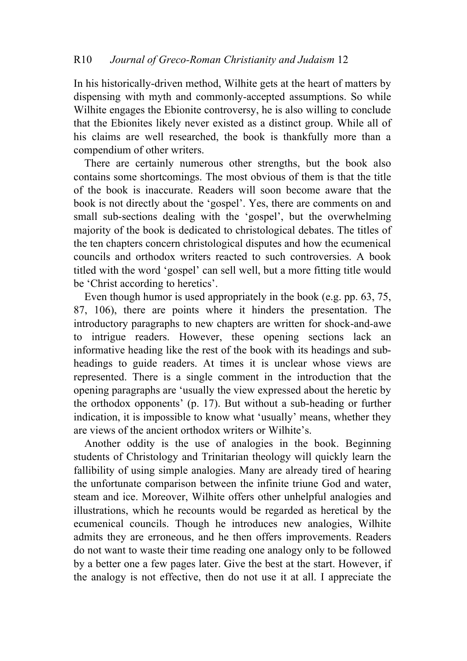In his historically-driven method, Wilhite gets at the heart of matters by dispensing with myth and commonly-accepted assumptions. So while Wilhite engages the Ebionite controversy, he is also willing to conclude that the Ebionites likely never existed as a distinct group. While all of his claims are well researched, the book is thankfully more than a compendium of other writers.

There are certainly numerous other strengths, but the book also contains some shortcomings. The most obvious of them is that the title of the book is inaccurate. Readers will soon become aware that the book is not directly about the 'gospel'. Yes, there are comments on and small sub-sections dealing with the 'gospel', but the overwhelming majority of the book is dedicated to christological debates. The titles of the ten chapters concern christological disputes and how the ecumenical councils and orthodox writers reacted to such controversies. A book titled with the word 'gospel' can sell well, but a more fitting title would be 'Christ according to heretics'.

Even though humor is used appropriately in the book (e.g. pp. 63, 75, 87, 106), there are points where it hinders the presentation. The introductory paragraphs to new chapters are written for shock-and-awe to intrigue readers. However, these opening sections lack an informative heading like the rest of the book with its headings and subheadings to guide readers. At times it is unclear whose views are represented. There is a single comment in the introduction that the opening paragraphs are 'usually the view expressed about the heretic by the orthodox opponents' (p. 17). But without a sub-heading or further indication, it is impossible to know what 'usually' means, whether they are views of the ancient orthodox writers or Wilhite's.

Another oddity is the use of analogies in the book. Beginning students of Christology and Trinitarian theology will quickly learn the fallibility of using simple analogies. Many are already tired of hearing the unfortunate comparison between the infinite triune God and water, steam and ice. Moreover, Wilhite offers other unhelpful analogies and illustrations, which he recounts would be regarded as heretical by the ecumenical councils. Though he introduces new analogies, Wilhite admits they are erroneous, and he then offers improvements. Readers do not want to waste their time reading one analogy only to be followed by a better one a few pages later. Give the best at the start. However, if the analogy is not effective, then do not use it at all. I appreciate the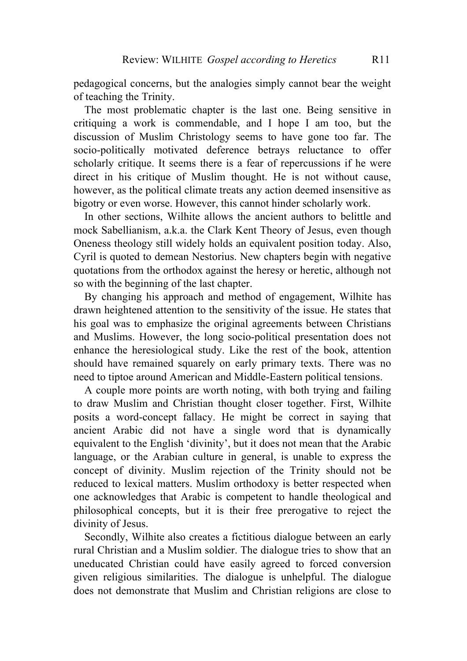pedagogical concerns, but the analogies simply cannot bear the weight of teaching the Trinity.

The most problematic chapter is the last one. Being sensitive in critiquing a work is commendable, and I hope I am too, but the discussion of Muslim Christology seems to have gone too far. The socio-politically motivated deference betrays reluctance to offer scholarly critique. It seems there is a fear of repercussions if he were direct in his critique of Muslim thought. He is not without cause, however, as the political climate treats any action deemed insensitive as bigotry or even worse. However, this cannot hinder scholarly work.

In other sections, Wilhite allows the ancient authors to belittle and mock Sabellianism, a.k.a. the Clark Kent Theory of Jesus, even though Oneness theology still widely holds an equivalent position today. Also, Cyril is quoted to demean Nestorius. New chapters begin with negative quotations from the orthodox against the heresy or heretic, although not so with the beginning of the last chapter.

By changing his approach and method of engagement, Wilhite has drawn heightened attention to the sensitivity of the issue. He states that his goal was to emphasize the original agreements between Christians and Muslims. However, the long socio-political presentation does not enhance the heresiological study. Like the rest of the book, attention should have remained squarely on early primary texts. There was no need to tiptoe around American and Middle-Eastern political tensions.

A couple more points are worth noting, with both trying and failing to draw Muslim and Christian thought closer together. First, Wilhite posits a word-concept fallacy. He might be correct in saying that ancient Arabic did not have a single word that is dynamically equivalent to the English 'divinity', but it does not mean that the Arabic language, or the Arabian culture in general, is unable to express the concept of divinity. Muslim rejection of the Trinity should not be reduced to lexical matters. Muslim orthodoxy is better respected when one acknowledges that Arabic is competent to handle theological and philosophical concepts, but it is their free prerogative to reject the divinity of Jesus.

Secondly, Wilhite also creates a fictitious dialogue between an early rural Christian and a Muslim soldier. The dialogue tries to show that an uneducated Christian could have easily agreed to forced conversion given religious similarities. The dialogue is unhelpful. The dialogue does not demonstrate that Muslim and Christian religions are close to